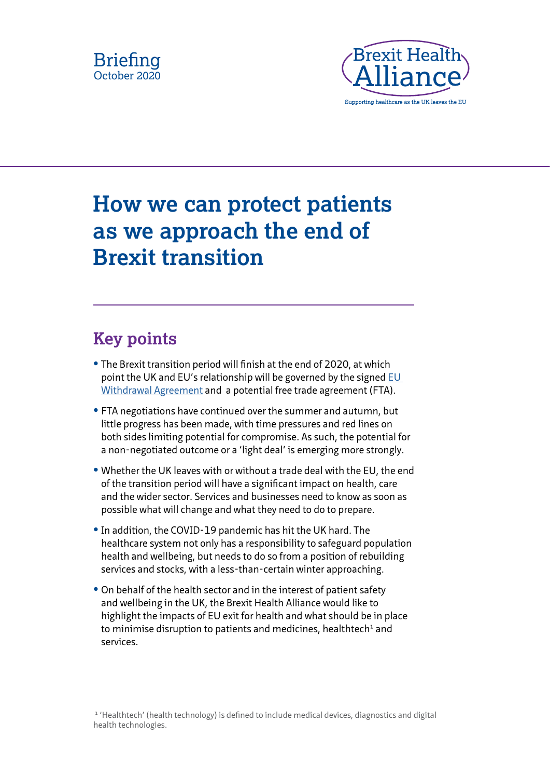



# **How we can protect patients as we approach the end of Brexit transition**

# **Key points**

- **•** The Brexit transition period will finish at the end of 2020, at which point the UK and EU's relationship will be governed by the signed EU [Withdrawal Agreement](https://www.gov.uk/government/publications/new-withdrawal-agreement-and-political-declaration) and a potential free trade agreement (FTA).
- **•** FTA negotiations have continued over the summer and autumn, but little progress has been made, with time pressures and red lines on both sides limiting potential for compromise. As such, the potential for a non-negotiated outcome or a 'light deal' is emerging more strongly.
- **•** Whether the UK leaves with or without a trade deal with the EU, the end of the transition period will have a significant impact on health, care and the wider sector. Services and businesses need to know as soon as possible what will change and what they need to do to prepare.
- **•** In addition, the COVID-19 pandemic has hit the UK hard. The healthcare system not only has a responsibility to safeguard population health and wellbeing, but needs to do so from a position of rebuilding services and stocks, with a less-than-certain winter approaching.
- **•** On behalf of the health sector and in the interest of patient safety and wellbeing in the UK, the Brexit Health Alliance would like to highlight the impacts of EU exit for health and what should be in place to minimise disruption to patients and medicines, healthtech<sup>1</sup> and services.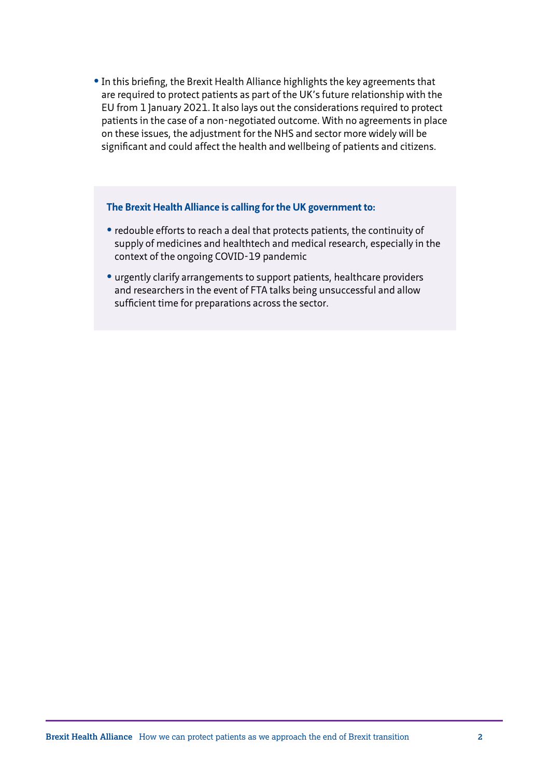**•** In this briefing, the Brexit Health Alliance highlights the key agreements that are required to protect patients as part of the UK's future relationship with the EU from 1 January 2021. It also lays out the considerations required to protect patients in the case of a non-negotiated outcome. With no agreements in place on these issues, the adjustment for the NHS and sector more widely will be significant and could affect the health and wellbeing of patients and citizens.

#### **The Brexit Health Alliance is calling for the UK government to:**

- **•** redouble efforts to reach a deal that protects patients, the continuity of supply of medicines and healthtech and medical research, especially in the context of the ongoing COVID-19 pandemic
- **•** urgently clarify arrangements to support patients, healthcare providers and researchers in the event of FTA talks being unsuccessful and allow sufficient time for preparations across the sector.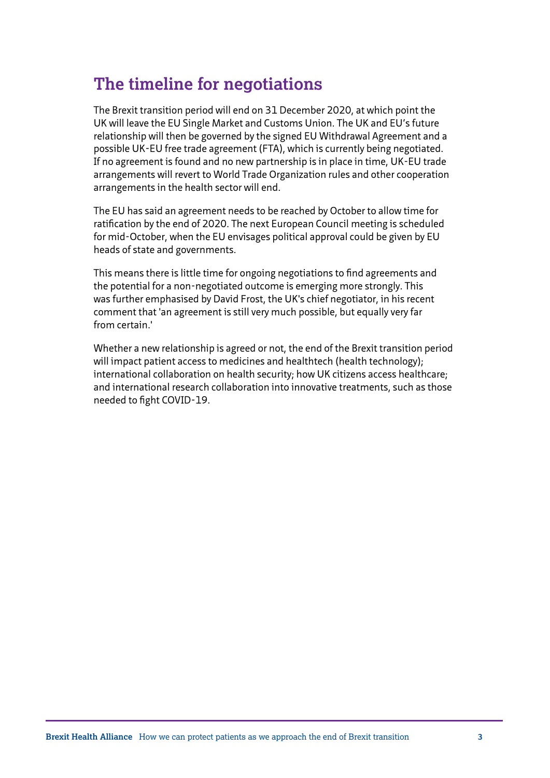## **The timeline for negotiations**

The Brexit transition period will end on 31 December 2020, at which point the UK will leave the EU Single Market and Customs Union. The UK and EU's future relationship will then be governed by the signed EU Withdrawal Agreement and a possible UK-EU free trade agreement (FTA), which is currently being negotiated. If no agreement is found and no new partnership is in place in time, UK-EU trade arrangements will revert to World Trade Organization rules and other cooperation arrangements in the health sector will end.

The EU has said an agreement needs to be reached by October to allow time for ratification by the end of 2020. The next European Council meeting is scheduled for mid-October, when the EU envisages political approval could be given by EU heads of state and governments.

This means there is little time for ongoing negotiations to find agreements and the potential for a non-negotiated outcome is emerging more strongly. This was further emphasised by David Frost, the UK's chief negotiator, in his recent comment that 'an agreement is still very much possible, but equally very far from certain.'

Whether a new relationship is agreed or not, the end of the Brexit transition period will impact patient access to medicines and healthtech (health technology); international collaboration on health security; how UK citizens access healthcare; and international research collaboration into innovative treatments, such as those needed to fight COVID-19.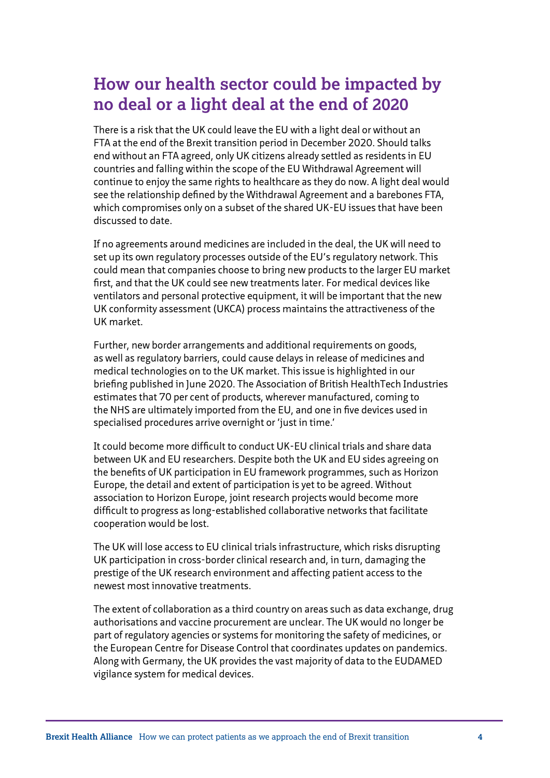## **How our health sector could be impacted by no deal or a light deal at the end of 2020**

There is a risk that the UK could leave the EU with a light deal or without an FTA at the end of the Brexit transition period in December 2020. Should talks end without an FTA agreed, only UK citizens already settled as residents in EU countries and falling within the scope of the EU Withdrawal Agreement will continue to enjoy the same rights to healthcare as they do now. A light deal would see the relationship defined by the Withdrawal Agreement and a barebones FTA, which compromises only on a subset of the shared UK-EU issues that have been discussed to date.

If no agreements around medicines are included in the deal, the UK will need to set up its own regulatory processes outside of the EU's regulatory network. This could mean that companies choose to bring new products to the larger EU market first, and that the UK could see new treatments later. For medical devices like ventilators and personal protective equipment, it will be important that the new UK conformity assessment (UKCA) process maintains the attractiveness of the UK market.

Further, new border arrangements and additional requirements on goods, as well as regulatory barriers, could cause delays in release of medicines and medical technologies on to the UK market. This issue is highlighted in our briefing published in June 2020. The Association of British HealthTech Industries estimates that 70 per cent of products, wherever manufactured, coming to the NHS are ultimately imported from the EU, and one in five devices used in specialised procedures arrive overnight or 'just in time.'

It could become more difficult to conduct UK-EU clinical trials and share data between UK and EU researchers. Despite both the UK and EU sides agreeing on the benefits of UK participation in EU framework programmes, such as Horizon Europe, the detail and extent of participation is yet to be agreed. Without association to Horizon Europe, joint research projects would become more difficult to progress as long-established collaborative networks that facilitate cooperation would be lost.

The UK will lose access to EU clinical trials infrastructure, which risks disrupting UK participation in cross-border clinical research and, in turn, damaging the prestige of the UK research environment and affecting patient access to the newest most innovative treatments.

The extent of collaboration as a third country on areas such as data exchange, drug authorisations and vaccine procurement are unclear. The UK would no longer be part of regulatory agencies or systems for monitoring the safety of medicines, or the European Centre for Disease Control that coordinates updates on pandemics. Along with Germany, the UK provides the vast majority of data to the EUDAMED vigilance system for medical devices.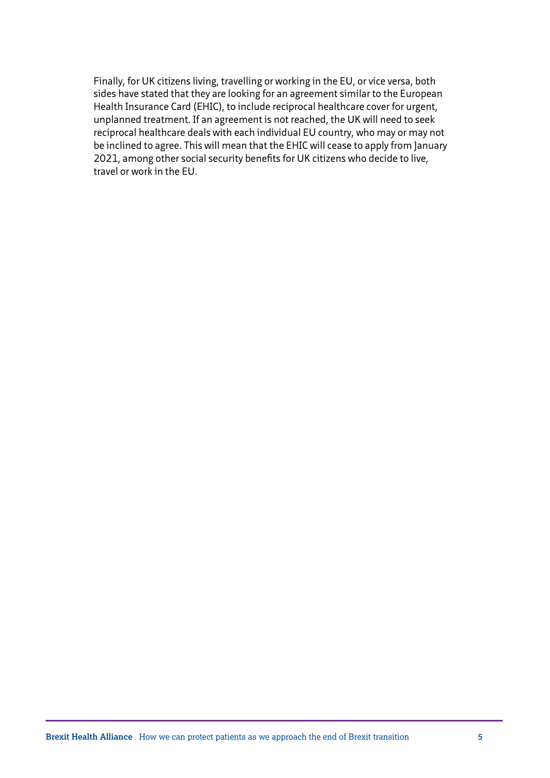Finally, for UK citizens living, travelling or working in the EU, or vice versa, both sides have stated that they are looking for an agreement similar to the European Health Insurance Card (EHIC), to include reciprocal healthcare cover for urgent, unplanned treatment. If an agreement is not reached, the UK will need to seek reciprocal healthcare deals with each individual EU country, who may or may not be inclined to agree. This will mean that the EHIC will cease to apply from January 2021, among other social security benefits for UK citizens who decide to live, travel or work in the EU.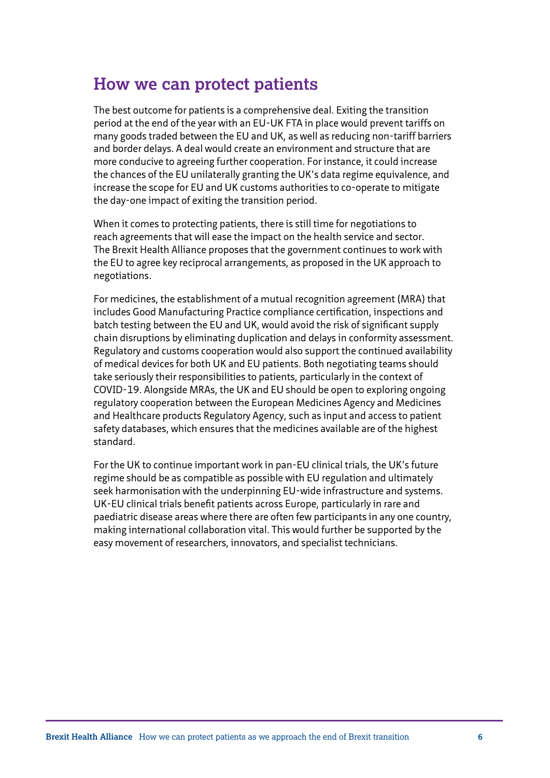### **How we can protect patients**

The best outcome for patients is a comprehensive deal. Exiting the transition period at the end of the year with an EU-UK FTA in place would prevent tariffs on many goods traded between the EU and UK, as well as reducing non-tariff barriers and border delays. A deal would create an environment and structure that are more conducive to agreeing further cooperation. For instance, it could increase the chances of the EU unilaterally granting the UK's data regime equivalence, and increase the scope for EU and UK customs authorities to co-operate to mitigate the day-one impact of exiting the transition period.

When it comes to protecting patients, there is still time for negotiations to reach agreements that will ease the impact on the health service and sector. The Brexit Health Alliance proposes that the government continues to work with the EU to agree key reciprocal arrangements, as proposed in the UK approach to negotiations.

For medicines, the establishment of a mutual recognition agreement (MRA) that includes Good Manufacturing Practice compliance certification, inspections and batch testing between the EU and UK, would avoid the risk of significant supply chain disruptions by eliminating duplication and delays in conformity assessment. Regulatory and customs cooperation would also support the continued availability of medical devices for both UK and EU patients. Both negotiating teams should take seriously their responsibilities to patients, particularly in the context of COVID-19. Alongside MRAs, the UK and EU should be open to exploring ongoing regulatory cooperation between the European Medicines Agency and Medicines and Healthcare products Regulatory Agency, such as input and access to patient safety databases, which ensures that the medicines available are of the highest standard.

For the UK to continue important work in pan-EU clinical trials, the UK's future regime should be as compatible as possible with EU regulation and ultimately seek harmonisation with the underpinning EU-wide infrastructure and systems. UK-EU clinical trials benefit patients across Europe, particularly in rare and paediatric disease areas where there are often few participants in any one country, making international collaboration vital. This would further be supported by the easy movement of researchers, innovators, and specialist technicians.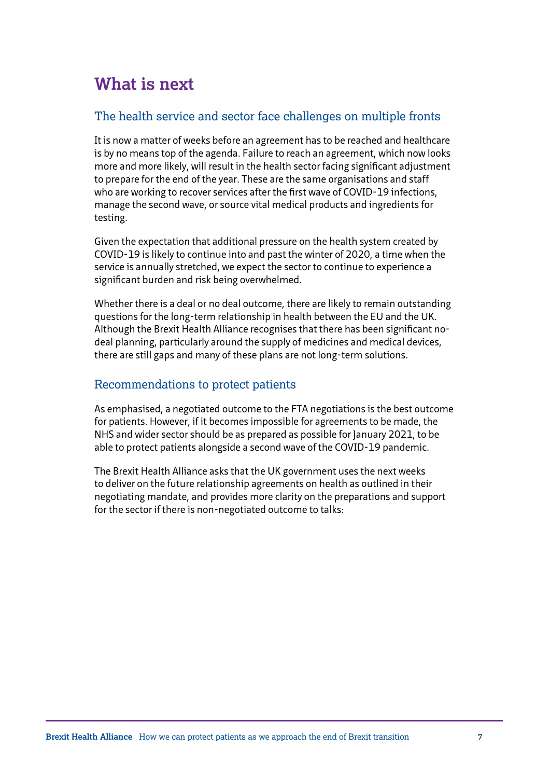## **What is next**

#### The health service and sector face challenges on multiple fronts

It is now a matter of weeks before an agreement has to be reached and healthcare is by no means top of the agenda. Failure to reach an agreement, which now looks more and more likely, will result in the health sector facing significant adjustment to prepare for the end of the year. These are the same organisations and staff who are working to recover services after the first wave of COVID-19 infections, manage the second wave, or source vital medical products and ingredients for testing.

Given the expectation that additional pressure on the health system created by COVID-19 is likely to continue into and past the winter of 2020, a time when the service is annually stretched, we expect the sector to continue to experience a significant burden and risk being overwhelmed.

Whether there is a deal or no deal outcome, there are likely to remain outstanding questions for the long-term relationship in health between the EU and the UK. Although the Brexit Health Alliance recognises that there has been significant nodeal planning, particularly around the supply of medicines and medical devices, there are still gaps and many of these plans are not long-term solutions.

#### Recommendations to protect patients

As emphasised, a negotiated outcome to the FTA negotiations is the best outcome for patients. However, if it becomes impossible for agreements to be made, the NHS and wider sector should be as prepared as possible for January 2021, to be able to protect patients alongside a second wave of the COVID-19 pandemic.

The Brexit Health Alliance asks that the UK government uses the next weeks to deliver on the future relationship agreements on health as outlined in their negotiating mandate, and provides more clarity on the preparations and support for the sector if there is non-negotiated outcome to talks: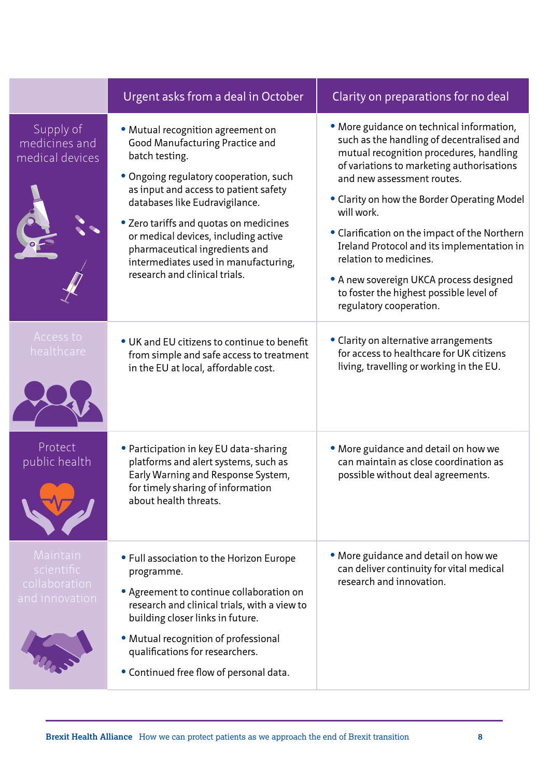|                                                           | Urgent asks from a deal in October                                                                                                                                                                                                                                                                                                                                                                       | Clarity on preparations for no deal                                                                                                                                                                                                                                                                                                                                                                                                                                                                                 |
|-----------------------------------------------------------|----------------------------------------------------------------------------------------------------------------------------------------------------------------------------------------------------------------------------------------------------------------------------------------------------------------------------------------------------------------------------------------------------------|---------------------------------------------------------------------------------------------------------------------------------------------------------------------------------------------------------------------------------------------------------------------------------------------------------------------------------------------------------------------------------------------------------------------------------------------------------------------------------------------------------------------|
| Supply of<br>medicines and<br>medical devices             | · Mutual recognition agreement on<br>Good Manufacturing Practice and<br>batch testing.<br>• Ongoing regulatory cooperation, such<br>as input and access to patient safety<br>databases like Eudravigilance.<br>• Zero tariffs and quotas on medicines<br>or medical devices, including active<br>pharmaceutical ingredients and<br>intermediates used in manufacturing,<br>research and clinical trials. | • More guidance on technical information,<br>such as the handling of decentralised and<br>mutual recognition procedures, handling<br>of variations to marketing authorisations<br>and new assessment routes.<br>• Clarity on how the Border Operating Model<br>will work.<br>• Clarification on the impact of the Northern<br>Ireland Protocol and its implementation in<br>relation to medicines.<br>• A new sovereign UKCA process designed<br>to foster the highest possible level of<br>regulatory cooperation. |
| Access to<br>healthcare                                   | • UK and EU citizens to continue to benefit<br>from simple and safe access to treatment<br>in the EU at local, affordable cost.                                                                                                                                                                                                                                                                          | • Clarity on alternative arrangements<br>for access to healthcare for UK citizens<br>living, travelling or working in the EU.                                                                                                                                                                                                                                                                                                                                                                                       |
| Protect<br>public health                                  | • Participation in key EU data-sharing<br>platforms and alert systems, such as<br>Early Warning and Response System,<br>for timely sharing of information<br>about health threats.                                                                                                                                                                                                                       | • More guidance and detail on how we<br>can maintain as close coordination as<br>possible without deal agreements.                                                                                                                                                                                                                                                                                                                                                                                                  |
| Maintain<br>scientific<br>collaboration<br>and innovation | • Full association to the Horizon Europe<br>programme.<br>• Agreement to continue collaboration on<br>research and clinical trials, with a view to<br>building closer links in future.<br>• Mutual recognition of professional<br>qualifications for researchers.<br>• Continued free flow of personal data.                                                                                             | • More guidance and detail on how we<br>can deliver continuity for vital medical<br>research and innovation.                                                                                                                                                                                                                                                                                                                                                                                                        |